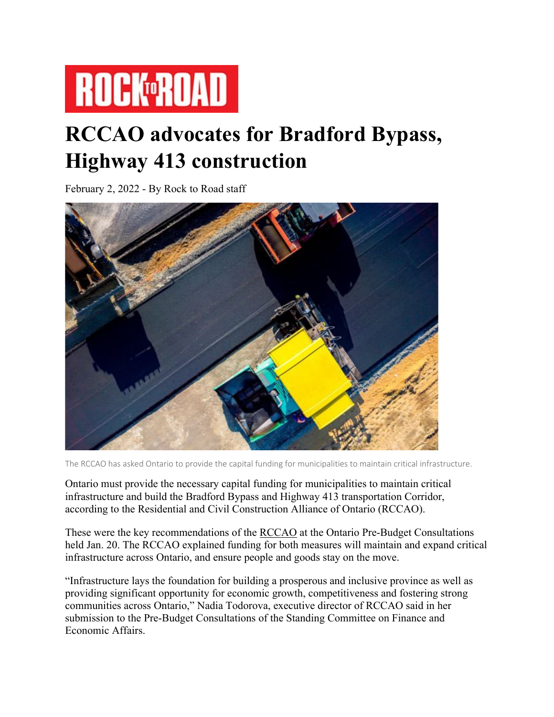

## **RCCAO advocates for Bradford Bypass, Highway 413 construction**

February 2, 2022 - By Rock to Road staff



The RCCAO has asked Ontario to provide the capital funding for municipalities to maintain critical infrastructure.

Ontario must provide the necessary capital funding for municipalities to maintain critical infrastructure and build the Bradford Bypass and Highway 413 transportation Corridor, according to the Residential and Civil Construction Alliance of Ontario (RCCAO).

These were the key recommendations of the [RCCAO](https://www.rccao.com/) at the Ontario Pre-Budget Consultations held Jan. 20. The RCCAO explained funding for both measures will maintain and expand critical infrastructure across Ontario, and ensure people and goods stay on the move.

"Infrastructure lays the foundation for building a prosperous and inclusive province as well as providing significant opportunity for economic growth, competitiveness and fostering strong communities across Ontario," Nadia Todorova, executive director of RCCAO said in her submission to the Pre-Budget Consultations of the Standing Committee on Finance and Economic Affairs.